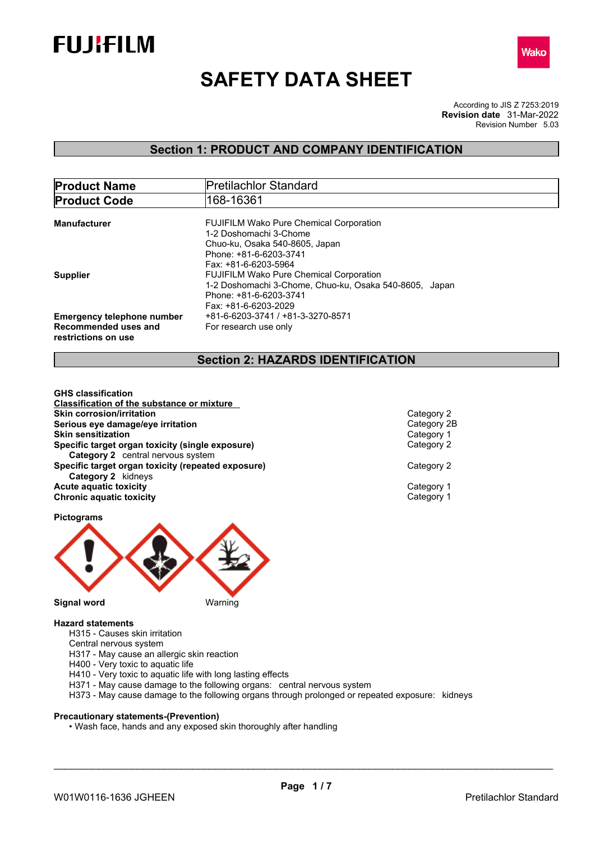



# **SAFETY DATA SHEET**

According to JIS Z 7253:2019 Revision Number 5.03 **Revision date** 31-Mar-2022

## **Section 1: PRODUCT AND COMPANY IDENTIFICATION**

| <b>Product Name</b>                         | <b>Pretilachlor Standard</b>                           |
|---------------------------------------------|--------------------------------------------------------|
| <b>Product Code</b>                         | 168-16361                                              |
| <b>Manufacturer</b>                         | <b>FUJIFILM Wako Pure Chemical Corporation</b>         |
|                                             | 1-2 Doshomachi 3-Chome                                 |
|                                             | Chuo-ku. Osaka 540-8605. Japan                         |
|                                             | Phone: +81-6-6203-3741                                 |
|                                             | Fax: +81-6-6203-5964                                   |
| <b>Supplier</b>                             | <b>FUJIFILM Wako Pure Chemical Corporation</b>         |
|                                             | 1-2 Doshomachi 3-Chome, Chuo-ku, Osaka 540-8605, Japan |
|                                             | Phone: +81-6-6203-3741                                 |
|                                             | Fax: +81-6-6203-2029                                   |
| <b>Emergency telephone number</b>           | +81-6-6203-3741 / +81-3-3270-8571                      |
| Recommended uses and<br>restrictions on use | For research use only                                  |

## **Section 2: HAZARDS IDENTIFICATION**

**GHS classification Classification of the substance or mixture Skin corrosion/irritation**<br> **Serious eve damage/eve irritation**<br>
Category 2B **Serious eye damage/eye irritation**<br> **Skin sensitization**<br>
Category 1 **Skin sensitization Specific target organ toxicity (single exposure)** Category 2 **Category 2** central nervous system **Specific target organ toxicity (repeated exposure)** Category 2 **Category 2** kidneys **Acute aquatic toxicity**<br> **Category 1**<br> **Category 1**<br> **Category 1 Chronic aquatic toxicity** 

**Pictograms**



#### **Hazard statements**

- H315 Causes skin irritation
- Central nervous system
- H317 May cause an allergic skin reaction
- H400 Very toxic to aquatic life
- H410 Very toxic to aquatic life with long lasting effects
- H371 May cause damage to the following organs: central nervous system
- H373 May cause damage to the following organs through prolonged or repeated exposure: kidneys

#### **Precautionary statements-(Prevention)**

• Wash face, hands and any exposed skin thoroughly after handling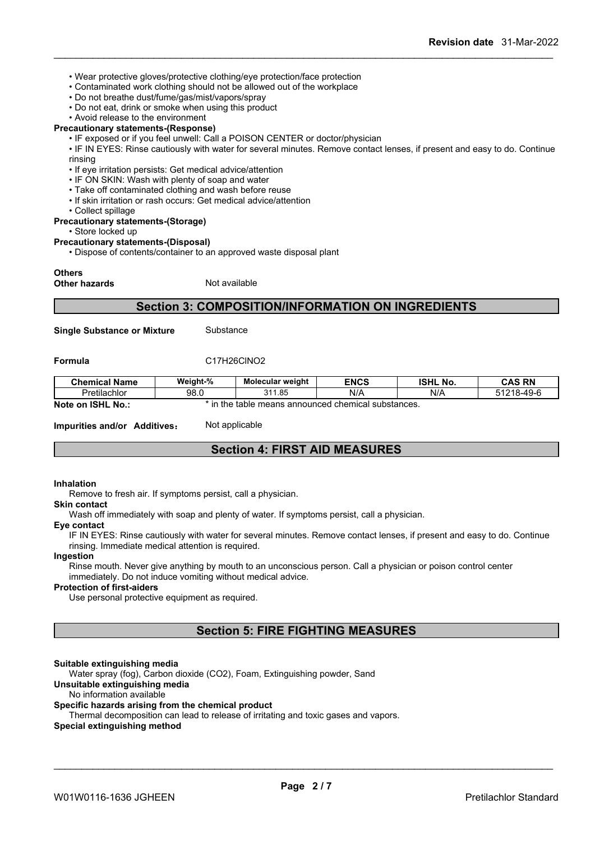- Wear protective gloves/protective clothing/eye protection/face protection
- Contaminated work clothing should not be allowed out of the workplace
- Do not breathe dust/fume/gas/mist/vapors/spray
- Do not eat, drink or smoke when using this product
- Avoid release to the environment

#### **Precautionary statements-(Response)**

- IF exposed or if you feel unwell: Call a POISON CENTER or doctor/physician
- IF IN EYES: Rinse cautiously with water for several minutes. Remove contact lenses, if present and easy to do. Continue rinsing
- If eye irritation persists: Get medical advice/attention
- IF ON SKIN: Wash with plenty of soap and water
- Take off contaminated clothing and wash before reuse
- If skin irritation or rash occurs: Get medical advice/attention
- Collect spillage

#### **Precautionary statements-(Storage)**

• Store locked up

#### **Precautionary statements-(Disposal)**

• Dispose of contents/container to an approved waste disposal plant

#### **Others**

**Other hazards** Not available

## **Section 3: COMPOSITION/INFORMATION ON INGREDIENTS**

**Single Substance or Mixture** Substance

#### **Formula** C17H26ClNO2

| <b>Chemical Name</b>                                                                       | Weight-% | <b>Molecular weight</b> | <b>ENCS</b> | <b>ISHL No.</b> | <b>CAS RN</b> |
|--------------------------------------------------------------------------------------------|----------|-------------------------|-------------|-----------------|---------------|
| Pretilachlor                                                                               | 98.0     | 311.85                  | N/A         | N/A             | 51218-49-6    |
| Note on<br><b>ISHL</b><br>` No<br>the<br>e means announced chemical substances.<br>: table |          |                         |             |                 |               |

**Impurities and/or Additives:** Not applicable

## **Section 4: FIRST AID MEASURES**

#### **Inhalation**

Remove to fresh air. If symptoms persist, call a physician.

#### **Skin contact**

Wash off immediately with soap and plenty of water. If symptoms persist, calla physician.

#### **Eye contact**

IF IN EYES: Rinse cautiously with water for several minutes. Remove contact lenses, if present and easy to do. Continue rinsing. Immediate medical attention is required.

#### **Ingestion**

Rinse mouth. Never give anything by mouth to an unconscious person. Call a physician or poison control center immediately. Do not induce vomiting without medical advice.

#### **Protection of first-aiders**

Use personal protective equipment as required.

## **Section 5: FIRE FIGHTING MEASURES**

#### **Suitable extinguishing media**

Water spray (fog), Carbon dioxide (CO2), Foam, Extinguishing powder, Sand

### **Unsuitable extinguishing media**

#### No information available

#### **Specific hazards arising from the chemical product**

Thermal decomposition can lead to release of irritating and toxic gases and vapors.

#### **Special extinguishing method**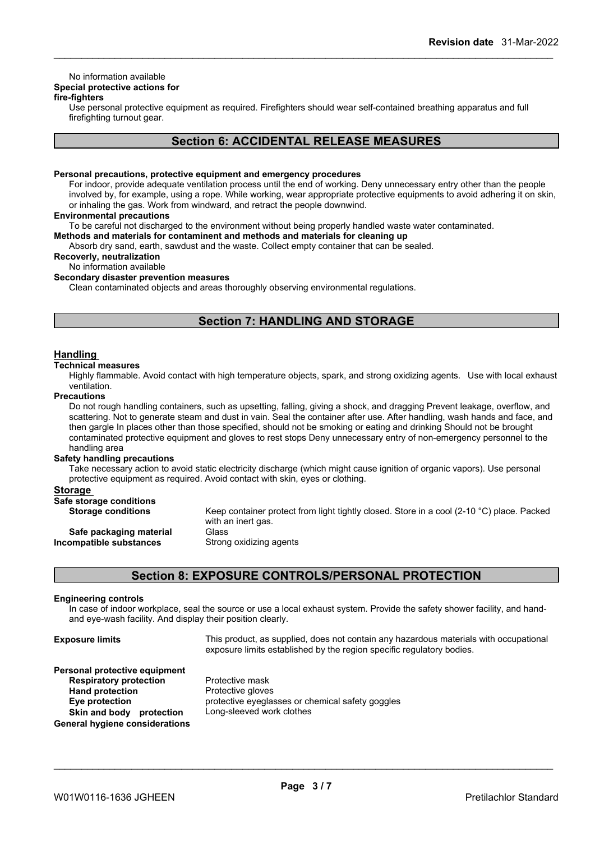## No information available

## **Special protective actions for**

### **fire-fighters**

Use personal protective equipment as required.Firefighters should wear self-contained breathing apparatus and full firefighting turnout gear.

## **Section 6: ACCIDENTAL RELEASE MEASURES**

#### **Personal precautions, protective equipment and emergency procedures**

For indoor, provide adequate ventilation process until the end of working. Deny unnecessary entry other than the people involved by, for example, using a rope. While working, wear appropriate protective equipments to avoid adhering it on skin, or inhaling the gas. Work from windward, and retract the people downwind.

#### **Environmental precautions**

To be careful not discharged to the environment without being properly handled waste water contaminated.

**Methods and materials for contaminent and methods and materials for cleaning up**

Absorb dry sand, earth, sawdust and the waste. Collect empty container that can be sealed.

### **Recoverly, neutralization**

No information available

## **Secondary disaster prevention measures**

Clean contaminated objects and areas thoroughly observing environmental regulations.

## **Section 7: HANDLING AND STORAGE**

#### **Handling**

### **Technical measures**

Highly flammable. Avoid contact with high temperature objects, spark, and strong oxidizing agents. Use with local exhaust ventilation.

#### **Precautions**

Do not rough handling containers, such as upsetting, falling, giving a shock, and dragging Prevent leakage, overflow, and scattering. Not to generate steam and dust in vain. Seal the container after use. After handling, wash hands and face, and then gargle In places other than those specified, should not be smoking or eating and drinking Should not be brought contaminated protective equipment and gloves to rest stops Deny unnecessary entry of non-emergency personnel to the handling area

#### **Safety handling precautions**

Take necessary action to avoid static electricity discharge (which might cause ignition of organic vapors). Use personal protective equipment as required. Avoid contact with skin, eyes or clothing.

#### **Storage**

| Safe storage conditions   |                                                                                                     |
|---------------------------|-----------------------------------------------------------------------------------------------------|
| <b>Storage conditions</b> | Keep container protect from light tightly closed. Store in a cool (2-10 $^{\circ}$ C) place. Packed |
|                           | with an inert gas.                                                                                  |
| Safe packaging material   | Glass                                                                                               |
| Incompatible substances   | Strong oxidizing agents                                                                             |
|                           |                                                                                                     |

## **Section 8: EXPOSURE CONTROLS/PERSONAL PROTECTION**

#### **Engineering controls**

In case of indoor workplace, seal the source or use a local exhaust system. Provide the safety shower facility, and handand eye-wash facility. And display their position clearly.

| <b>Exposure limits</b>                                                                                                                                                      | This product, as supplied, does not contain any hazardous materials with occupational<br>exposure limits established by the region specific regulatory bodies. |
|-----------------------------------------------------------------------------------------------------------------------------------------------------------------------------|----------------------------------------------------------------------------------------------------------------------------------------------------------------|
| Personal protective equipment<br><b>Respiratory protection</b><br><b>Hand protection</b><br>Eye protection<br>Skin and body<br>protection<br>General hygiene considerations | Protective mask<br>Protective gloves<br>protective eyeglasses or chemical safety goggles<br>Long-sleeved work clothes                                          |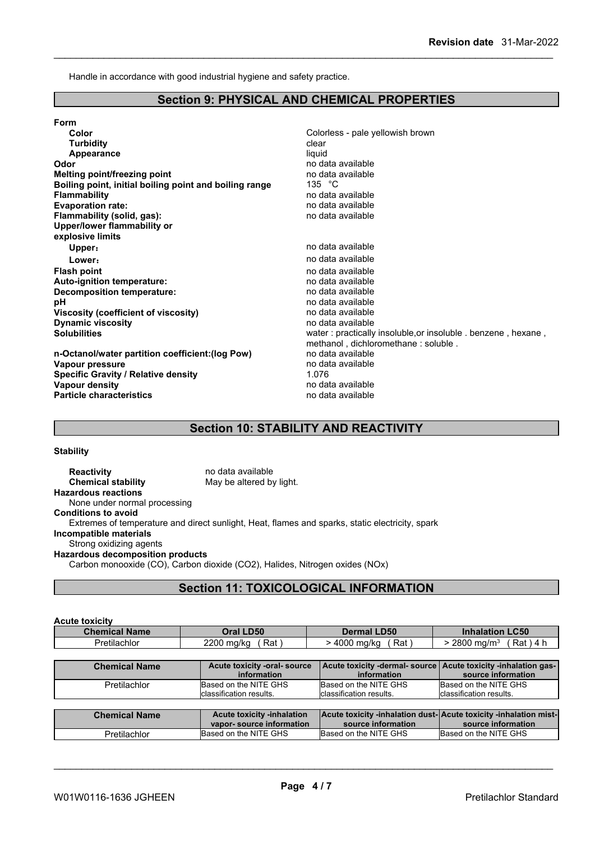Handle in accordance with good industrial hygiene and safety practice.

## **Section 9: PHYSICAL AND CHEMICAL PROPERTIES**

| Form                                                   |                                                               |
|--------------------------------------------------------|---------------------------------------------------------------|
| Color                                                  | Colorless - pale yellowish brown                              |
| <b>Turbidity</b>                                       | clear                                                         |
| Appearance                                             | liquid                                                        |
| Odor                                                   | no data available                                             |
| Melting point/freezing point                           | no data available                                             |
| Boiling point, initial boiling point and boiling range | 135 $\degree$ C                                               |
| <b>Flammability</b>                                    | no data available                                             |
| <b>Evaporation rate:</b>                               | no data available                                             |
| Flammability (solid, gas):                             | no data available                                             |
| Upper/lower flammability or                            |                                                               |
| explosive limits                                       |                                                               |
| Upper:                                                 | no data available                                             |
| Lower:                                                 | no data available                                             |
| <b>Flash point</b>                                     | no data available                                             |
| Auto-ignition temperature:                             | no data available                                             |
| Decomposition temperature:                             | no data available                                             |
| рH                                                     | no data available                                             |
| Viscosity (coefficient of viscosity)                   | no data available                                             |
| <b>Dynamic viscosity</b>                               | no data available                                             |
| <b>Solubilities</b>                                    | water: practically insoluble, or insoluble . benzene, hexane, |
|                                                        | methanol, dichloromethane: soluble.                           |
| n-Octanol/water partition coefficient: (log Pow)       | no data available                                             |
| Vapour pressure                                        | no data available                                             |
| <b>Specific Gravity / Relative density</b>             | 1.076                                                         |
| Vapour density                                         | no data available                                             |
| <b>Particle characteristics</b>                        | no data available                                             |
|                                                        |                                                               |

## **Section 10: STABILITY AND REACTIVITY**

#### **Stability**

| <b>Reactivity</b>                       | no data available                                                                               |
|-----------------------------------------|-------------------------------------------------------------------------------------------------|
| <b>Chemical stability</b>               | May be altered by light.                                                                        |
| <b>Hazardous reactions</b>              |                                                                                                 |
| None under normal processing            |                                                                                                 |
| <b>Conditions to avoid</b>              |                                                                                                 |
|                                         | Extremes of temperature and direct sunlight, Heat, flames and sparks, static electricity, spark |
| Incompatible materials                  |                                                                                                 |
| Strong oxidizing agents                 |                                                                                                 |
| <b>Hazardous decomposition products</b> |                                                                                                 |
|                                         | Carbon monooxide (CO), Carbon dioxide (CO2), Halides, Nitrogen oxides (NOx)                     |

## **Section 11: TOXICOLOGICAL INFORMATION**

| <b>Acute toxicity</b> |                   |                    |                                      |
|-----------------------|-------------------|--------------------|--------------------------------------|
| <b>Chemical Name</b>  | Oral LD50         | <b>Dermal LD50</b> | <b>Inhalation LC50</b>               |
| Pretilachlor          | Rat<br>2200 ma/ka | Rat<br>4000 ma/ka  | $2800 \; \text{ma/m}^3$<br>Rat ) 4 h |

| <b>Chemical Name</b> | Acute toxicity -oral-source<br>information                    | Acute toxicity -dermal- source Acute toxicity -inhalation gas-<br>information          | source information                                |
|----------------------|---------------------------------------------------------------|----------------------------------------------------------------------------------------|---------------------------------------------------|
| Pretilachlor         | Based on the NITE GHS<br>classification results               | Based on the NITE GHS<br>classification results.                                       | Based on the NITE GHS<br>lclassification results. |
|                      |                                                               |                                                                                        |                                                   |
| <b>Chemical Name</b> | <b>Acute toxicity -inhalation</b><br>vapor-source information | Acute toxicity -inhalation dust-Acute toxicity -inhalation mist-<br>source information | source information                                |
| <b>Pretilachlor</b>  | Based on the NITE GHS                                         | Based on the NITE GHS                                                                  | Based on the NITE GHS                             |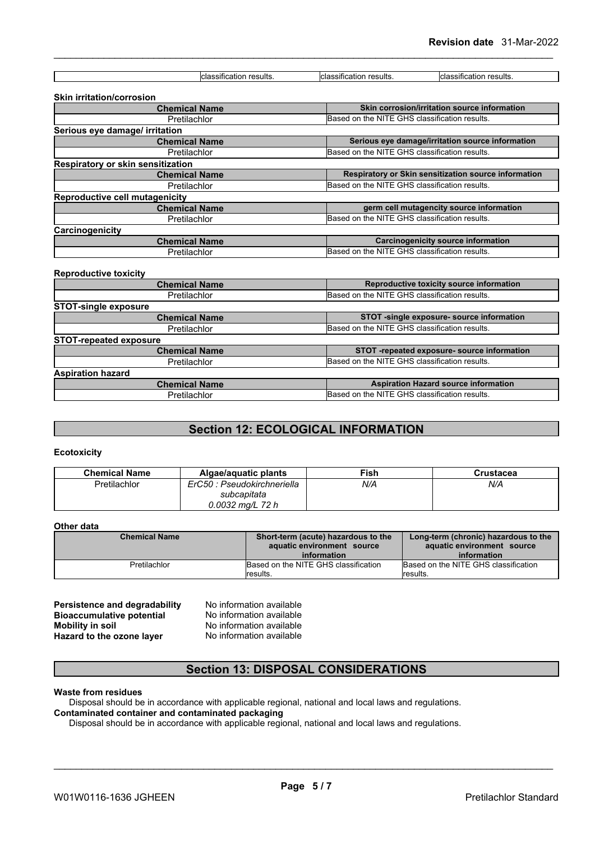| classification results.                  | classification results. | classification results.                              |  |  |
|------------------------------------------|-------------------------|------------------------------------------------------|--|--|
|                                          |                         |                                                      |  |  |
| <b>Skin irritation/corrosion</b>         |                         |                                                      |  |  |
| <b>Chemical Name</b>                     |                         | Skin corrosion/irritation source information         |  |  |
| Pretilachlor                             |                         | Based on the NITE GHS classification results.        |  |  |
| Serious eye damage/ irritation           |                         |                                                      |  |  |
| <b>Chemical Name</b>                     |                         | Serious eye damage/irritation source information     |  |  |
| Pretilachlor                             |                         | Based on the NITE GHS classification results.        |  |  |
| <b>Respiratory or skin sensitization</b> |                         |                                                      |  |  |
| <b>Chemical Name</b>                     |                         | Respiratory or Skin sensitization source information |  |  |
| Pretilachlor                             |                         | Based on the NITE GHS classification results.        |  |  |
| <b>Reproductive cell mutagenicity</b>    |                         |                                                      |  |  |
| <b>Chemical Name</b>                     |                         | germ cell mutagencity source information             |  |  |
| Pretilachlor                             |                         | Based on the NITE GHS classification results.        |  |  |
| Carcinogenicity                          |                         |                                                      |  |  |
| <b>Chemical Name</b>                     |                         | Carcinogenicity source information                   |  |  |
| Pretilachlor                             |                         | Based on the NITE GHS classification results.        |  |  |
|                                          |                         |                                                      |  |  |
| <b>Reproductive toxicity</b>             |                         |                                                      |  |  |
| <b>Chemical Name</b>                     |                         | Reproductive toxicity source information             |  |  |
| Pretilachlor                             |                         | Based on the NITE GHS classification results.        |  |  |
| <b>STOT-single exposure</b>              |                         |                                                      |  |  |
| <b>Chemical Name</b>                     |                         | STOT -single exposure- source information            |  |  |

| Pretilachlor                  | Based on the NITE GHS classification results. |  |
|-------------------------------|-----------------------------------------------|--|
| <b>STOT-repeated exposure</b> |                                               |  |
| <b>Chemical Name</b>          | STOT-repeated exposure-source information     |  |
| Pretilachlor                  | Based on the NITE GHS classification results. |  |
| <b>Aspiration hazard</b>      |                                               |  |
| <b>Chemical Name</b>          | <b>Aspiration Hazard source information</b>   |  |
| <b>Pretilachlor</b>           | Based on the NITE GHS classification results. |  |

## **Section 12: ECOLOGICAL INFORMATION**

#### **Ecotoxicity**

| <b>Chemical Name</b> | Algae/aquatic plants        | Fish∶ | Crustacea |
|----------------------|-----------------------------|-------|-----------|
| Pretilachlor         | ErC50 : Pseudokirchneriella | N/A   | N/A       |
|                      | subcapitata                 |       |           |
|                      | 0.0032 mg/L 72 h            |       |           |

#### **Other data**

| <b>Chemical Name</b> | Short-term (acute) hazardous to the<br>aquatic environment source | Long-term (chronic) hazardous to the<br>aquatic environment source |
|----------------------|-------------------------------------------------------------------|--------------------------------------------------------------------|
|                      | information                                                       | information                                                        |
| Pretilachlor         | Based on the NITE GHS classification                              | Based on the NITE GHS classification                               |
|                      | <i>I</i> results.                                                 | results.                                                           |

**Persistence and degradability** No information available **Bioaccumulative potential** No information available<br> **Mobility in soil** No information available **Hazard** to the ozone layer

No information available<br>No information available

## **Section 13: DISPOSAL CONSIDERATIONS**

#### **Waste from residues**

Disposal should be in accordance with applicable regional, national and local laws and regulations. **Contaminated container and contaminated packaging**

Disposal should be in accordance with applicable regional, national and local laws and regulations.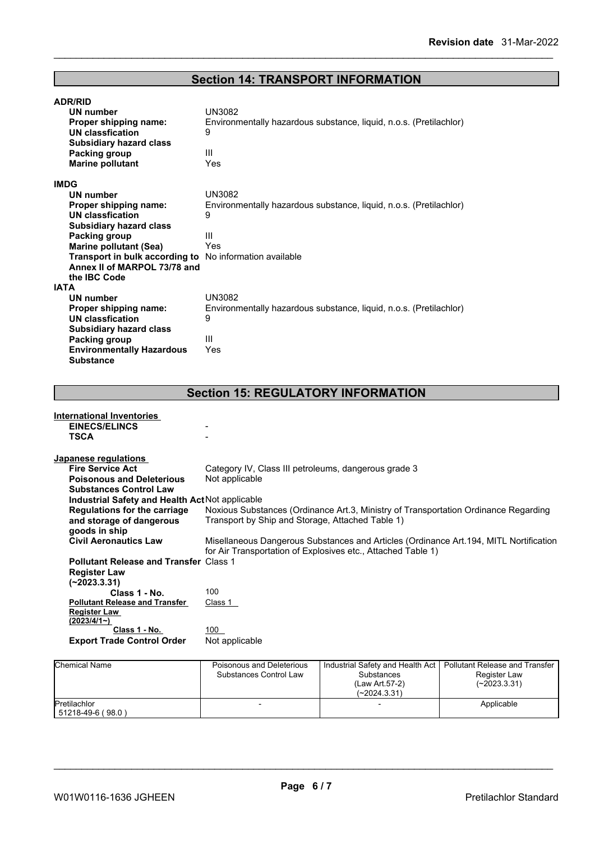# **Section 14: TRANSPORT INFORMATION**

| <b>ADR/RID</b>                                          |                                                                    |  |  |  |
|---------------------------------------------------------|--------------------------------------------------------------------|--|--|--|
| <b>UN number</b>                                        | <b>UN3082</b>                                                      |  |  |  |
| Proper shipping name:                                   | Environmentally hazardous substance, liquid, n.o.s. (Pretilachlor) |  |  |  |
| UN classfication                                        | 9                                                                  |  |  |  |
| <b>Subsidiary hazard class</b>                          |                                                                    |  |  |  |
| Packing group                                           | Ш                                                                  |  |  |  |
| <b>Marine pollutant</b>                                 | Yes                                                                |  |  |  |
| <b>IMDG</b>                                             |                                                                    |  |  |  |
| UN number                                               | UN3082                                                             |  |  |  |
| Proper shipping name:                                   | Environmentally hazardous substance, liquid, n.o.s. (Pretilachlor) |  |  |  |
| UN classfication                                        | 9                                                                  |  |  |  |
| <b>Subsidiary hazard class</b>                          |                                                                    |  |  |  |
| Packing group                                           | Ш                                                                  |  |  |  |
| <b>Marine pollutant (Sea)</b>                           | Yes                                                                |  |  |  |
| Transport in bulk according to No information available |                                                                    |  |  |  |
| Annex II of MARPOL 73/78 and                            |                                                                    |  |  |  |
| the IBC Code                                            |                                                                    |  |  |  |
| <b>IATA</b>                                             |                                                                    |  |  |  |
| UN number                                               | UN3082                                                             |  |  |  |
| Proper shipping name:                                   | Environmentally hazardous substance, liquid, n.o.s. (Pretilachlor) |  |  |  |
| UN classfication                                        | 9                                                                  |  |  |  |
| <b>Subsidiary hazard class</b>                          |                                                                    |  |  |  |
| Packing group                                           | Ш                                                                  |  |  |  |
| <b>Environmentally Hazardous</b><br><b>Substance</b>    | Yes                                                                |  |  |  |

## **Section 15: REGULATORY INFORMATION**

| <b>International Inventories</b>                       |                                                                                       |
|--------------------------------------------------------|---------------------------------------------------------------------------------------|
| <b>EINECS/ELINCS</b>                                   |                                                                                       |
| <b>TSCA</b>                                            |                                                                                       |
|                                                        |                                                                                       |
| Japanese regulations                                   |                                                                                       |
| <b>Fire Service Act</b>                                | Category IV, Class III petroleums, dangerous grade 3                                  |
| <b>Poisonous and Deleterious</b>                       | Not applicable                                                                        |
| <b>Substances Control Law</b>                          |                                                                                       |
| <b>Industrial Safety and Health Act Not applicable</b> |                                                                                       |
| <b>Regulations for the carriage</b>                    | Noxious Substances (Ordinance Art.3, Ministry of Transportation Ordinance Regarding   |
| and storage of dangerous                               | Transport by Ship and Storage, Attached Table 1)                                      |
| goods in ship                                          |                                                                                       |
| <b>Civil Aeronautics Law</b>                           | Misellaneous Dangerous Substances and Articles (Ordinance Art.194, MITL Nortification |
|                                                        | for Air Transportation of Explosives etc., Attached Table 1)                          |
| <b>Pollutant Release and Transfer Class 1</b>          |                                                                                       |
| <b>Register Law</b>                                    |                                                                                       |
| (~2023.3.31)                                           |                                                                                       |
| Class 1 - No.                                          | 100                                                                                   |
| <b>Pollutant Release and Transfer</b>                  | Class 1                                                                               |
| <b>Register Law</b>                                    |                                                                                       |
| (2023/4/1)                                             |                                                                                       |
| Class 1 - No.                                          | 100                                                                                   |
| <b>Export Trade Control Order</b>                      | Not applicable                                                                        |
|                                                        |                                                                                       |
|                                                        |                                                                                       |

| <b>Chemical Name</b>              | Poisonous and Deleterious<br>Substances Control Law | Industrial Safety and Health Act<br>Substances<br>(Law Art 57-2)<br>(~2024.3.31) | Pollutant Release and Transfer<br>Register Law<br>$(-2023.3.31)$ |  |
|-----------------------------------|-----------------------------------------------------|----------------------------------------------------------------------------------|------------------------------------------------------------------|--|
| Pretilachlor<br>51218-49-6 (98.0) |                                                     | $\overline{\phantom{0}}$                                                         | Applicable                                                       |  |